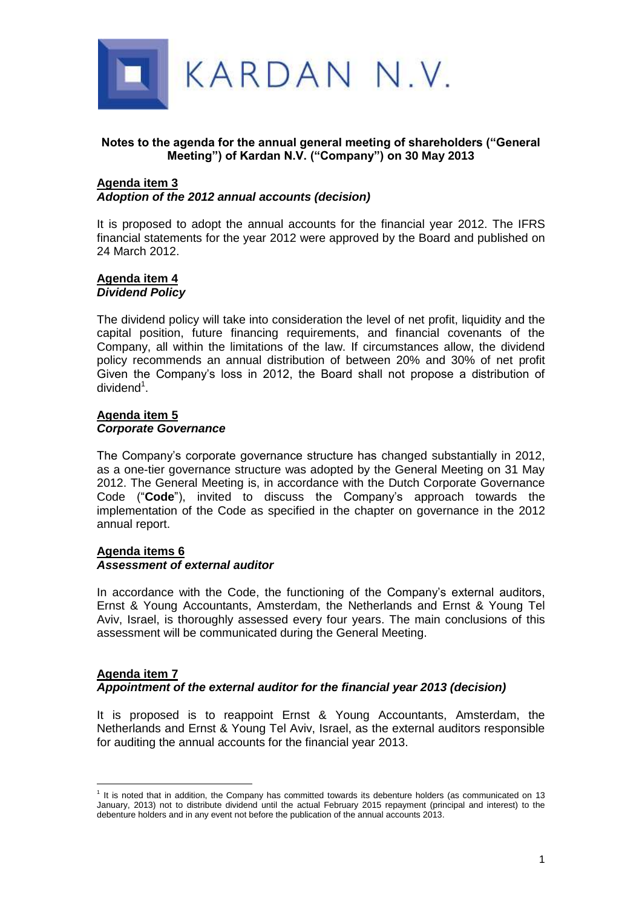

# **Notes to the agenda for the annual general meeting of shareholders ("General Meeting") of Kardan N.V. ("Company") on 30 May 2013**

### **Agenda item 3** *Adoption of the 2012 annual accounts (decision)*

It is proposed to adopt the annual accounts for the financial year 2012. The IFRS financial statements for the year 2012 were approved by the Board and published on 24 March 2012.

### **Agenda item 4** *Dividend Policy*

The dividend policy will take into consideration the level of net profit, liquidity and the capital position, future financing requirements, and financial covenants of the Company, all within the limitations of the law. If circumstances allow, the dividend policy recommends an annual distribution of between 20% and 30% of net profit Given the Company's loss in 2012, the Board shall not propose a distribution of dividend<sup>1</sup>.

## **Agenda item 5** *Corporate Governance*

The Company's corporate governance structure has changed substantially in 2012, as a one-tier governance structure was adopted by the General Meeting on 31 May 2012. The General Meeting is, in accordance with the Dutch Corporate Governance Code ("**Code**"), invited to discuss the Company's approach towards the implementation of the Code as specified in the chapter on governance in the 2012 annual report.

#### **Agenda items 6** *Assessment of external auditor*

In accordance with the Code, the functioning of the Company's external auditors, Ernst & Young Accountants, Amsterdam, the Netherlands and Ernst & Young Tel Aviv, Israel, is thoroughly assessed every four years. The main conclusions of this assessment will be communicated during the General Meeting.

## **Agenda item 7** *Appointment of the external auditor for the financial year 2013 (decision)*

It is proposed is to reappoint Ernst & Young Accountants, Amsterdam, the Netherlands and Ernst & Young Tel Aviv, Israel, as the external auditors responsible for auditing the annual accounts for the financial year 2013.

 $\overline{a}$ <sup>1</sup> It is noted that in addition, the Company has committed towards its debenture holders (as communicated on 13 January, 2013) not to distribute dividend until the actual February 2015 repayment (principal and interest) to the debenture holders and in any event not before the publication of the annual accounts 2013.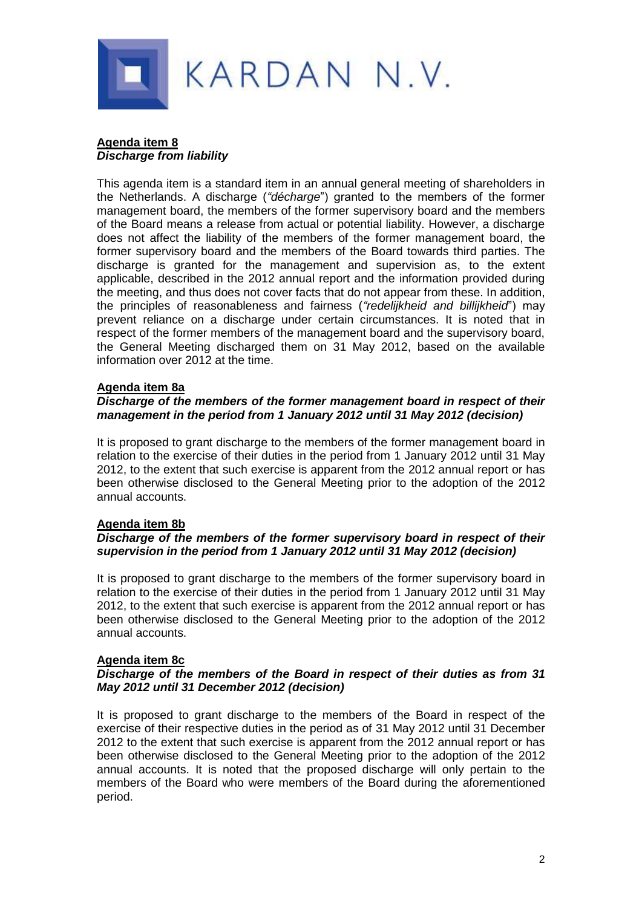

# **Agenda item 8** *Discharge from liability*

This agenda item is a standard item in an annual general meeting of shareholders in the Netherlands. A discharge (*"décharge*") granted to the members of the former management board, the members of the former supervisory board and the members of the Board means a release from actual or potential liability. However, a discharge does not affect the liability of the members of the former management board, the former supervisory board and the members of the Board towards third parties. The discharge is granted for the management and supervision as, to the extent applicable, described in the 2012 annual report and the information provided during the meeting, and thus does not cover facts that do not appear from these. In addition, the principles of reasonableness and fairness (*"redelijkheid and billijkheid*") may prevent reliance on a discharge under certain circumstances. It is noted that in respect of the former members of the management board and the supervisory board, the General Meeting discharged them on 31 May 2012, based on the available information over 2012 at the time.

# **Agenda item 8a**

### *Discharge of the members of the former management board in respect of their management in the period from 1 January 2012 until 31 May 2012 (decision)*

It is proposed to grant discharge to the members of the former management board in relation to the exercise of their duties in the period from 1 January 2012 until 31 May 2012, to the extent that such exercise is apparent from the 2012 annual report or has been otherwise disclosed to the General Meeting prior to the adoption of the 2012 annual accounts.

# **Agenda item 8b**

# *Discharge of the members of the former supervisory board in respect of their supervision in the period from 1 January 2012 until 31 May 2012 (decision)*

It is proposed to grant discharge to the members of the former supervisory board in relation to the exercise of their duties in the period from 1 January 2012 until 31 May 2012, to the extent that such exercise is apparent from the 2012 annual report or has been otherwise disclosed to the General Meeting prior to the adoption of the 2012 annual accounts.

# **Agenda item 8c**

### *Discharge of the members of the Board in respect of their duties as from 31 May 2012 until 31 December 2012 (decision)*

It is proposed to grant discharge to the members of the Board in respect of the exercise of their respective duties in the period as of 31 May 2012 until 31 December 2012 to the extent that such exercise is apparent from the 2012 annual report or has been otherwise disclosed to the General Meeting prior to the adoption of the 2012 annual accounts. It is noted that the proposed discharge will only pertain to the members of the Board who were members of the Board during the aforementioned period.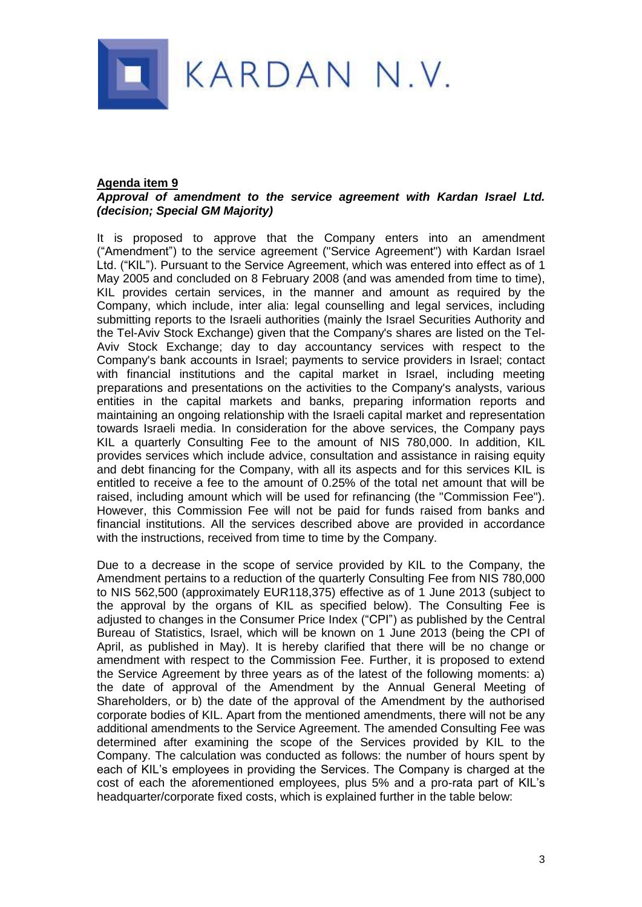

### **Agenda item 9**

## *Approval of amendment to the service agreement with Kardan Israel Ltd. (decision; Special GM Majority)*

It is proposed to approve that the Company enters into an amendment ("Amendment") to the service agreement ("Service Agreement") with Kardan Israel Ltd. ("KIL"). Pursuant to the Service Agreement, which was entered into effect as of 1 May 2005 and concluded on 8 February 2008 (and was amended from time to time), KIL provides certain services, in the manner and amount as required by the Company, which include, inter alia: legal counselling and legal services, including submitting reports to the Israeli authorities (mainly the Israel Securities Authority and the Tel-Aviv Stock Exchange) given that the Company's shares are listed on the Tel-Aviv Stock Exchange; day to day accountancy services with respect to the Company's bank accounts in Israel; payments to service providers in Israel; contact with financial institutions and the capital market in Israel, including meeting preparations and presentations on the activities to the Company's analysts, various entities in the capital markets and banks, preparing information reports and maintaining an ongoing relationship with the Israeli capital market and representation towards Israeli media. In consideration for the above services, the Company pays KIL a quarterly Consulting Fee to the amount of NIS 780,000. In addition, KIL provides services which include advice, consultation and assistance in raising equity and debt financing for the Company, with all its aspects and for this services KIL is entitled to receive a fee to the amount of 0.25% of the total net amount that will be raised, including amount which will be used for refinancing (the "Commission Fee"). However, this Commission Fee will not be paid for funds raised from banks and financial institutions. All the services described above are provided in accordance with the instructions, received from time to time by the Company.

Due to a decrease in the scope of service provided by KIL to the Company, the Amendment pertains to a reduction of the quarterly Consulting Fee from NIS 780,000 to NIS 562,500 (approximately EUR118,375) effective as of 1 June 2013 (subject to the approval by the organs of KIL as specified below). The Consulting Fee is adjusted to changes in the Consumer Price Index ("CPI") as published by the Central Bureau of Statistics, Israel, which will be known on 1 June 2013 (being the CPI of April, as published in May). It is hereby clarified that there will be no change or amendment with respect to the Commission Fee. Further, it is proposed to extend the Service Agreement by three years as of the latest of the following moments: a) the date of approval of the Amendment by the Annual General Meeting of Shareholders, or b) the date of the approval of the Amendment by the authorised corporate bodies of KIL. Apart from the mentioned amendments, there will not be any additional amendments to the Service Agreement. The amended Consulting Fee was determined after examining the scope of the Services provided by KIL to the Company. The calculation was conducted as follows: the number of hours spent by each of KIL's employees in providing the Services. The Company is charged at the cost of each the aforementioned employees, plus 5% and a pro-rata part of KIL's headquarter/corporate fixed costs, which is explained further in the table below: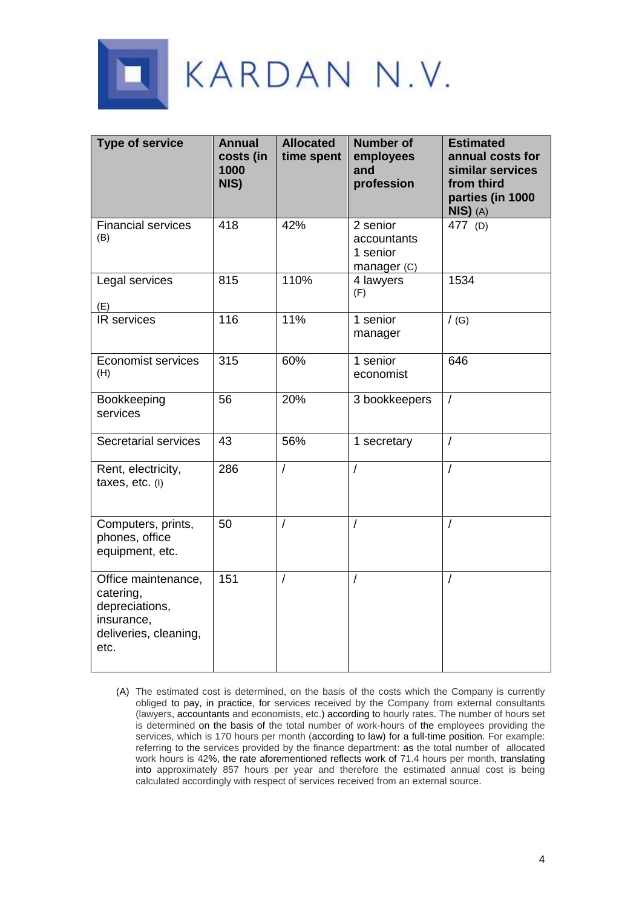

| <b>Type of service</b>                                                                            | <b>Annual</b><br>costs (in<br>1000<br>NIS) | <b>Allocated</b><br>time spent | <b>Number of</b><br>employees<br>and<br>profession | <b>Estimated</b><br>annual costs for<br>similar services<br>from third<br>parties (in 1000<br>$NIS)$ (A) |
|---------------------------------------------------------------------------------------------------|--------------------------------------------|--------------------------------|----------------------------------------------------|----------------------------------------------------------------------------------------------------------|
| <b>Financial services</b><br>(B)                                                                  | 418                                        | 42%                            | 2 senior<br>accountants<br>1 senior<br>manager (C) | 477 (D)                                                                                                  |
| Legal services<br>(E)                                                                             | 815                                        | 110%                           | 4 lawyers<br>(F)                                   | 1534                                                                                                     |
| IR services                                                                                       | 116                                        | 11%                            | 1 senior<br>manager                                | /(G)                                                                                                     |
| <b>Economist services</b><br>(H)                                                                  | 315                                        | 60%                            | 1 senior<br>economist                              | 646                                                                                                      |
| Bookkeeping<br>services                                                                           | 56                                         | 20%                            | 3 bookkeepers                                      | $\sqrt{ }$                                                                                               |
| Secretarial services                                                                              | 43                                         | 56%                            | 1 secretary                                        | $\overline{1}$                                                                                           |
| Rent, electricity,<br>taxes, etc. (I)                                                             | 286                                        | $\overline{1}$                 |                                                    | $\overline{I}$                                                                                           |
| Computers, prints,<br>phones, office<br>equipment, etc.                                           | 50                                         | $\prime$                       | $\prime$                                           | $\sqrt{2}$                                                                                               |
| Office maintenance,<br>catering,<br>depreciations,<br>insurance,<br>deliveries, cleaning,<br>etc. | 151                                        | 1                              |                                                    | $\sqrt{ }$                                                                                               |

(A) The estimated cost is determined, on the basis of the costs which the Company is currently obliged to pay, in practice, for services received by the Company from external consultants (lawyers, accountants and economists, etc.) according to hourly rates. The number of hours set is determined on the basis of the total number of work-hours of the employees providing the services, which is 170 hours per month (according to law) for a full-time position. For example: referring to the services provided by the finance department: as the total number of allocated work hours is 42%, the rate aforementioned reflects work of 71.4 hours per month, translating into approximately 857 hours per year and therefore the estimated annual cost is being calculated accordingly with respect of services received from an external source.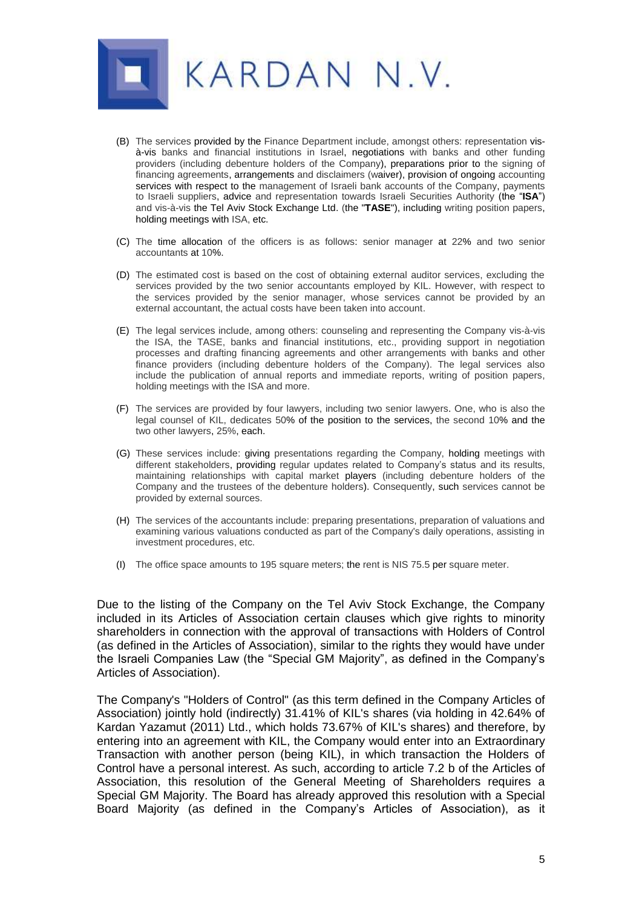

- (B) The services provided by the Finance Department include, amongst others: representation visà-vis banks and financial institutions in Israel, negotiations with banks and other funding providers (including debenture holders of the Company), preparations prior to the signing of financing agreements, arrangements and disclaimers (waiver), provision of ongoing accounting services with respect to the management of Israeli bank accounts of the Company, payments to Israeli suppliers, advice and representation towards Israeli Securities Authority (the "**ISA**") and vis-à-vis the Tel Aviv Stock Exchange Ltd. (the "**TASE**"), including writing position papers, holding meetings with ISA, etc.
- (C) The time allocation of the officers is as follows: senior manager at 22% and two senior accountants at 10%.
- (D) The estimated cost is based on the cost of obtaining external auditor services, excluding the services provided by the two senior accountants employed by KIL. However, with respect to the services provided by the senior manager, whose services cannot be provided by an external accountant, the actual costs have been taken into account.
- (E) The legal services include, among others: counseling and representing the Company vis-à-vis the ISA, the TASE, banks and financial institutions, etc., providing support in negotiation processes and drafting financing agreements and other arrangements with banks and other finance providers (including debenture holders of the Company). The legal services also include the publication of annual reports and immediate reports, writing of position papers, holding meetings with the ISA and more.
- (F) The services are provided by four lawyers, including two senior lawyers. One, who is also the legal counsel of KIL, dedicates 50% of the position to the services, the second 10% and the two other lawyers, 25%, each.
- (G) These services include: giving presentations regarding the Company, holding meetings with different stakeholders, providing regular updates related to Company's status and its results, maintaining relationships with capital market players (including debenture holders of the Company and the trustees of the debenture holders). Consequently, such services cannot be provided by external sources.
- (H) The services of the accountants include: preparing presentations, preparation of valuations and examining various valuations conducted as part of the Company's daily operations, assisting in investment procedures, etc.
- (I) The office space amounts to 195 square meters; the rent is NIS 75.5 per square meter.

Due to the listing of the Company on the Tel Aviv Stock Exchange, the Company included in its Articles of Association certain clauses which give rights to minority shareholders in connection with the approval of transactions with Holders of Control (as defined in the Articles of Association), similar to the rights they would have under the Israeli Companies Law (the "Special GM Majority", as defined in the Company's Articles of Association).

The Company's "Holders of Control" (as this term defined in the Company Articles of Association) jointly hold (indirectly) 31.41% of KIL's shares (via holding in 42.64% of Kardan Yazamut (2011) Ltd., which holds 73.67% of KIL's shares) and therefore, by entering into an agreement with KIL, the Company would enter into an Extraordinary Transaction with another person (being KIL), in which transaction the Holders of Control have a personal interest. As such, according to article 7.2 b of the Articles of Association, this resolution of the General Meeting of Shareholders requires a Special GM Majority. The Board has already approved this resolution with a Special Board Majority (as defined in the Company's Articles of Association), as it